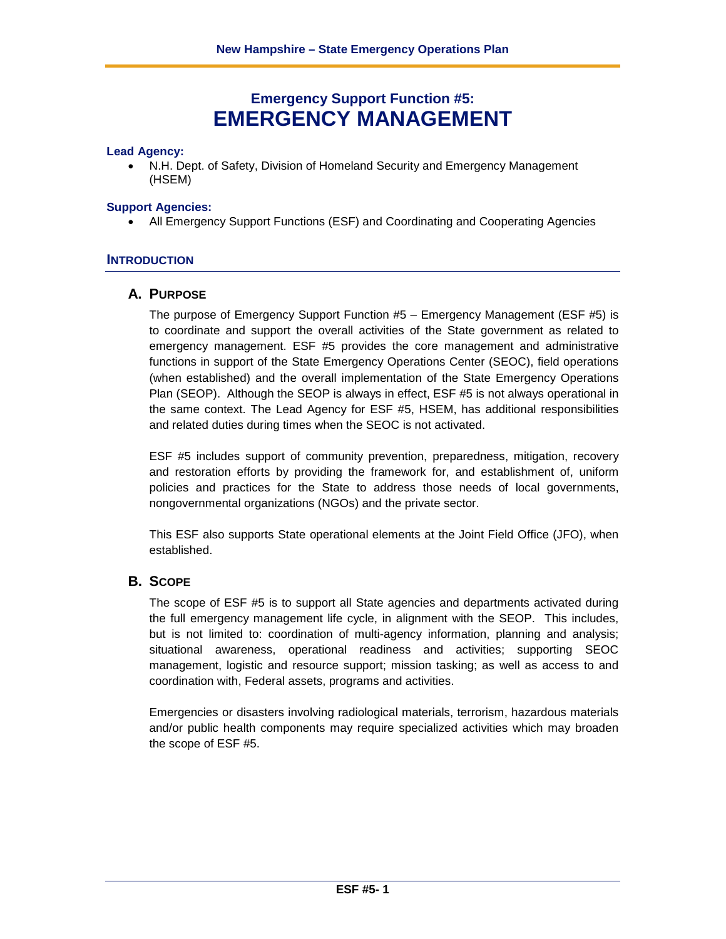# **Emergency Support Function #5: EMERGENCY MANAGEMENT**

#### **Lead Agency:**

• N.H. Dept. of Safety, Division of Homeland Security and Emergency Management (HSEM)

#### **Support Agencies:**

• All Emergency Support Functions (ESF) and Coordinating and Cooperating Agencies

#### **INTRODUCTION**

#### **A. PURPOSE**

The purpose of Emergency Support Function #5 – Emergency Management (ESF #5) is to coordinate and support the overall activities of the State government as related to emergency management. ESF #5 provides the core management and administrative functions in support of the State Emergency Operations Center (SEOC), field operations (when established) and the overall implementation of the State Emergency Operations Plan (SEOP). Although the SEOP is always in effect, ESF #5 is not always operational in the same context. The Lead Agency for ESF #5, HSEM, has additional responsibilities and related duties during times when the SEOC is not activated.

ESF #5 includes support of community prevention, preparedness, mitigation, recovery and restoration efforts by providing the framework for, and establishment of, uniform policies and practices for the State to address those needs of local governments, nongovernmental organizations (NGOs) and the private sector.

This ESF also supports State operational elements at the Joint Field Office (JFO), when established.

#### **B. SCOPE**

The scope of ESF #5 is to support all State agencies and departments activated during the full emergency management life cycle, in alignment with the SEOP. This includes, but is not limited to: coordination of multi-agency information, planning and analysis; situational awareness, operational readiness and activities; supporting SEOC management, logistic and resource support; mission tasking; as well as access to and coordination with, Federal assets, programs and activities.

Emergencies or disasters involving radiological materials, terrorism, hazardous materials and/or public health components may require specialized activities which may broaden the scope of ESF #5.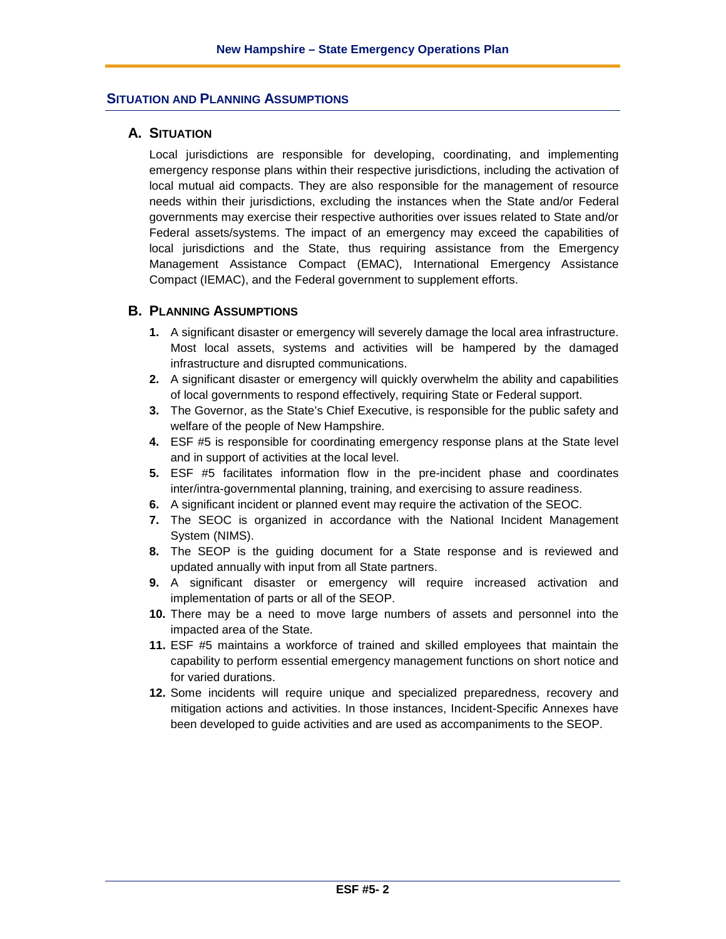### **SITUATION AND PLANNING ASSUMPTIONS**

#### **A. SITUATION**

Local jurisdictions are responsible for developing, coordinating, and implementing emergency response plans within their respective jurisdictions, including the activation of local mutual aid compacts. They are also responsible for the management of resource needs within their jurisdictions, excluding the instances when the State and/or Federal governments may exercise their respective authorities over issues related to State and/or Federal assets/systems. The impact of an emergency may exceed the capabilities of local jurisdictions and the State, thus requiring assistance from the Emergency Management Assistance Compact (EMAC), International Emergency Assistance Compact (IEMAC), and the Federal government to supplement efforts.

#### **B. PLANNING ASSUMPTIONS**

- **1.** A significant disaster or emergency will severely damage the local area infrastructure. Most local assets, systems and activities will be hampered by the damaged infrastructure and disrupted communications.
- **2.** A significant disaster or emergency will quickly overwhelm the ability and capabilities of local governments to respond effectively, requiring State or Federal support.
- **3.** The Governor, as the State's Chief Executive, is responsible for the public safety and welfare of the people of New Hampshire.
- **4.** ESF #5 is responsible for coordinating emergency response plans at the State level and in support of activities at the local level.
- **5.** ESF #5 facilitates information flow in the pre-incident phase and coordinates inter/intra-governmental planning, training, and exercising to assure readiness.
- **6.** A significant incident or planned event may require the activation of the SEOC.
- **7.** The SEOC is organized in accordance with the National Incident Management System (NIMS).
- **8.** The SEOP is the guiding document for a State response and is reviewed and updated annually with input from all State partners.
- **9.** A significant disaster or emergency will require increased activation and implementation of parts or all of the SEOP.
- **10.** There may be a need to move large numbers of assets and personnel into the impacted area of the State.
- **11.** ESF #5 maintains a workforce of trained and skilled employees that maintain the capability to perform essential emergency management functions on short notice and for varied durations.
- **12.** Some incidents will require unique and specialized preparedness, recovery and mitigation actions and activities. In those instances, Incident-Specific Annexes have been developed to guide activities and are used as accompaniments to the SEOP.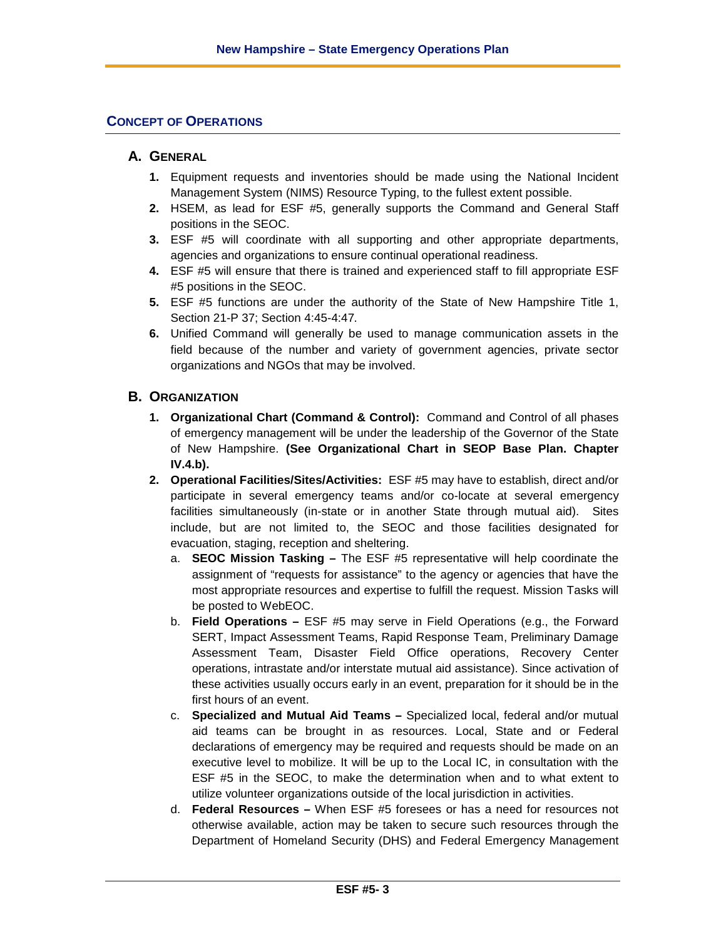#### **CONCEPT OF OPERATIONS**

#### **A. GENERAL**

- **1.** Equipment requests and inventories should be made using the National Incident Management System (NIMS) Resource Typing, to the fullest extent possible.
- **2.** HSEM, as lead for ESF #5, generally supports the Command and General Staff positions in the SEOC.
- **3.** ESF #5 will coordinate with all supporting and other appropriate departments, agencies and organizations to ensure continual operational readiness.
- **4.** ESF #5 will ensure that there is trained and experienced staff to fill appropriate ESF #5 positions in the SEOC.
- **5.** ESF #5 functions are under the authority of the State of New Hampshire Title 1, Section 21-P 37; Section 4:45-4:47*.*
- **6.** Unified Command will generally be used to manage communication assets in the field because of the number and variety of government agencies, private sector organizations and NGOs that may be involved.

#### **B. ORGANIZATION**

- **1. Organizational Chart (Command & Control):** Command and Control of all phases of emergency management will be under the leadership of the Governor of the State of New Hampshire. **(See Organizational Chart in SEOP Base Plan. Chapter IV.4.b).**
- **2. Operational Facilities/Sites/Activities:** ESF #5 may have to establish, direct and/or participate in several emergency teams and/or co-locate at several emergency facilities simultaneously (in-state or in another State through mutual aid). Sites include, but are not limited to, the SEOC and those facilities designated for evacuation, staging, reception and sheltering.
	- a. **SEOC Mission Tasking –** The ESF #5 representative will help coordinate the assignment of "requests for assistance" to the agency or agencies that have the most appropriate resources and expertise to fulfill the request. Mission Tasks will be posted to WebEOC.
	- b. **Field Operations –** ESF #5 may serve in Field Operations (e.g., the Forward SERT, Impact Assessment Teams, Rapid Response Team, Preliminary Damage Assessment Team, Disaster Field Office operations, Recovery Center operations, intrastate and/or interstate mutual aid assistance). Since activation of these activities usually occurs early in an event, preparation for it should be in the first hours of an event.
	- c. **Specialized and Mutual Aid Teams –** Specialized local, federal and/or mutual aid teams can be brought in as resources. Local, State and or Federal declarations of emergency may be required and requests should be made on an executive level to mobilize. It will be up to the Local IC, in consultation with the ESF #5 in the SEOC, to make the determination when and to what extent to utilize volunteer organizations outside of the local jurisdiction in activities.
	- d. **Federal Resources –** When ESF #5 foresees or has a need for resources not otherwise available, action may be taken to secure such resources through the Department of Homeland Security (DHS) and Federal Emergency Management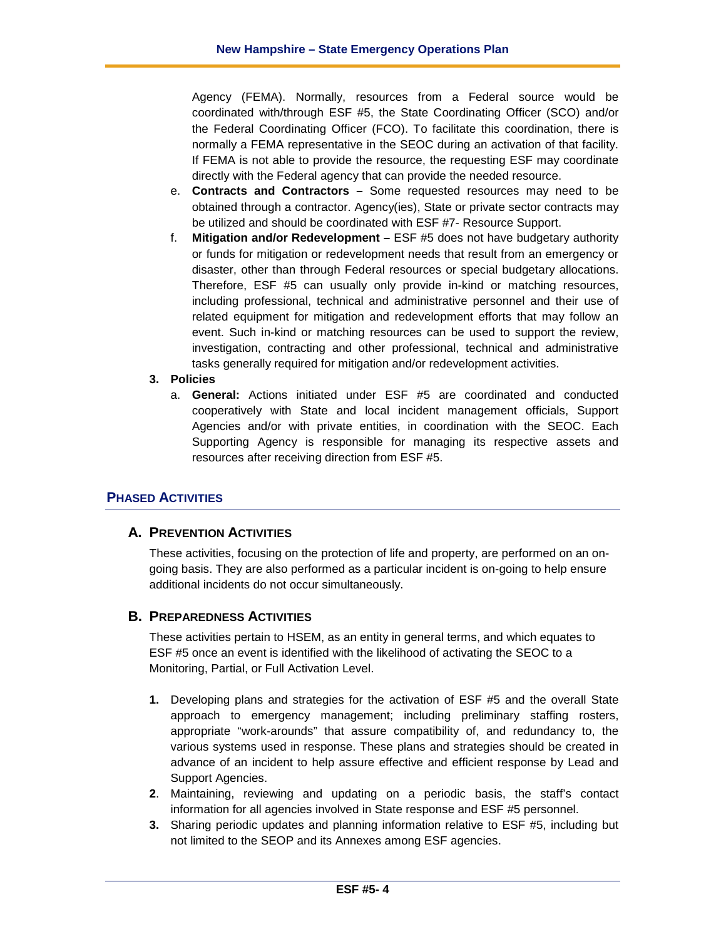Agency (FEMA). Normally, resources from a Federal source would be coordinated with/through ESF #5, the State Coordinating Officer (SCO) and/or the Federal Coordinating Officer (FCO). To facilitate this coordination, there is normally a FEMA representative in the SEOC during an activation of that facility. If FEMA is not able to provide the resource, the requesting ESF may coordinate directly with the Federal agency that can provide the needed resource.

- e. **Contracts and Contractors –** Some requested resources may need to be obtained through a contractor. Agency(ies), State or private sector contracts may be utilized and should be coordinated with ESF #7- Resource Support.
- f. **Mitigation and/or Redevelopment –** ESF #5 does not have budgetary authority or funds for mitigation or redevelopment needs that result from an emergency or disaster, other than through Federal resources or special budgetary allocations. Therefore, ESF #5 can usually only provide in-kind or matching resources, including professional, technical and administrative personnel and their use of related equipment for mitigation and redevelopment efforts that may follow an event. Such in-kind or matching resources can be used to support the review, investigation, contracting and other professional, technical and administrative tasks generally required for mitigation and/or redevelopment activities.

#### **3. Policies**

a. **General:** Actions initiated under ESF #5 are coordinated and conducted cooperatively with State and local incident management officials, Support Agencies and/or with private entities, in coordination with the SEOC. Each Supporting Agency is responsible for managing its respective assets and resources after receiving direction from ESF #5.

# **PHASED ACTIVITIES**

#### **A. PREVENTION ACTIVITIES**

These activities, focusing on the protection of life and property, are performed on an ongoing basis. They are also performed as a particular incident is on-going to help ensure additional incidents do not occur simultaneously.

#### **B. PREPAREDNESS ACTIVITIES**

These activities pertain to HSEM, as an entity in general terms, and which equates to ESF #5 once an event is identified with the likelihood of activating the SEOC to a Monitoring, Partial, or Full Activation Level.

- **1.** Developing plans and strategies for the activation of ESF #5 and the overall State approach to emergency management; including preliminary staffing rosters, appropriate "work-arounds" that assure compatibility of, and redundancy to, the various systems used in response. These plans and strategies should be created in advance of an incident to help assure effective and efficient response by Lead and Support Agencies.
- **2**. Maintaining, reviewing and updating on a periodic basis, the staff's contact information for all agencies involved in State response and ESF #5 personnel.
- **3.** Sharing periodic updates and planning information relative to ESF #5, including but not limited to the SEOP and its Annexes among ESF agencies.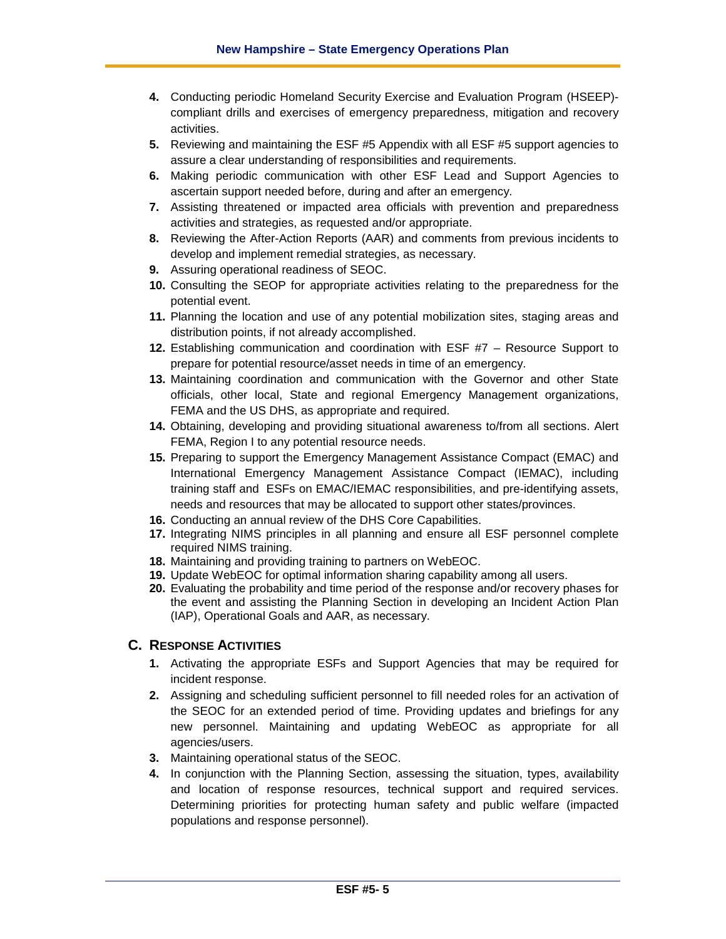- **4.** Conducting periodic Homeland Security Exercise and Evaluation Program (HSEEP) compliant drills and exercises of emergency preparedness, mitigation and recovery activities.
- **5.** Reviewing and maintaining the ESF #5 Appendix with all ESF #5 support agencies to assure a clear understanding of responsibilities and requirements.
- **6.** Making periodic communication with other ESF Lead and Support Agencies to ascertain support needed before, during and after an emergency.
- **7.** Assisting threatened or impacted area officials with prevention and preparedness activities and strategies, as requested and/or appropriate.
- **8.** Reviewing the After-Action Reports (AAR) and comments from previous incidents to develop and implement remedial strategies, as necessary.
- **9.** Assuring operational readiness of SEOC.
- **10.** Consulting the SEOP for appropriate activities relating to the preparedness for the potential event.
- **11.** Planning the location and use of any potential mobilization sites, staging areas and distribution points, if not already accomplished.
- **12.** Establishing communication and coordination with ESF #7 Resource Support to prepare for potential resource/asset needs in time of an emergency.
- **13.** Maintaining coordination and communication with the Governor and other State officials, other local, State and regional Emergency Management organizations, FEMA and the US DHS, as appropriate and required.
- **14.** Obtaining, developing and providing situational awareness to/from all sections. Alert FEMA, Region I to any potential resource needs.
- **15.** Preparing to support the Emergency Management Assistance Compact (EMAC) and International Emergency Management Assistance Compact (IEMAC), including training staff and ESFs on EMAC/IEMAC responsibilities, and pre-identifying assets, needs and resources that may be allocated to support other states/provinces.
- **16.** Conducting an annual review of the DHS Core Capabilities.
- **17.** Integrating NIMS principles in all planning and ensure all ESF personnel complete required NIMS training.
- **18.** Maintaining and providing training to partners on WebEOC.
- **19.** Update WebEOC for optimal information sharing capability among all users.
- **20.** Evaluating the probability and time period of the response and/or recovery phases for the event and assisting the Planning Section in developing an Incident Action Plan (IAP), Operational Goals and AAR, as necessary.

#### **C. RESPONSE ACTIVITIES**

- **1.** Activating the appropriate ESFs and Support Agencies that may be required for incident response.
- **2.** Assigning and scheduling sufficient personnel to fill needed roles for an activation of the SEOC for an extended period of time. Providing updates and briefings for any new personnel. Maintaining and updating WebEOC as appropriate for all agencies/users.
- **3.** Maintaining operational status of the SEOC.
- **4.** In conjunction with the Planning Section, assessing the situation, types, availability and location of response resources, technical support and required services. Determining priorities for protecting human safety and public welfare (impacted populations and response personnel).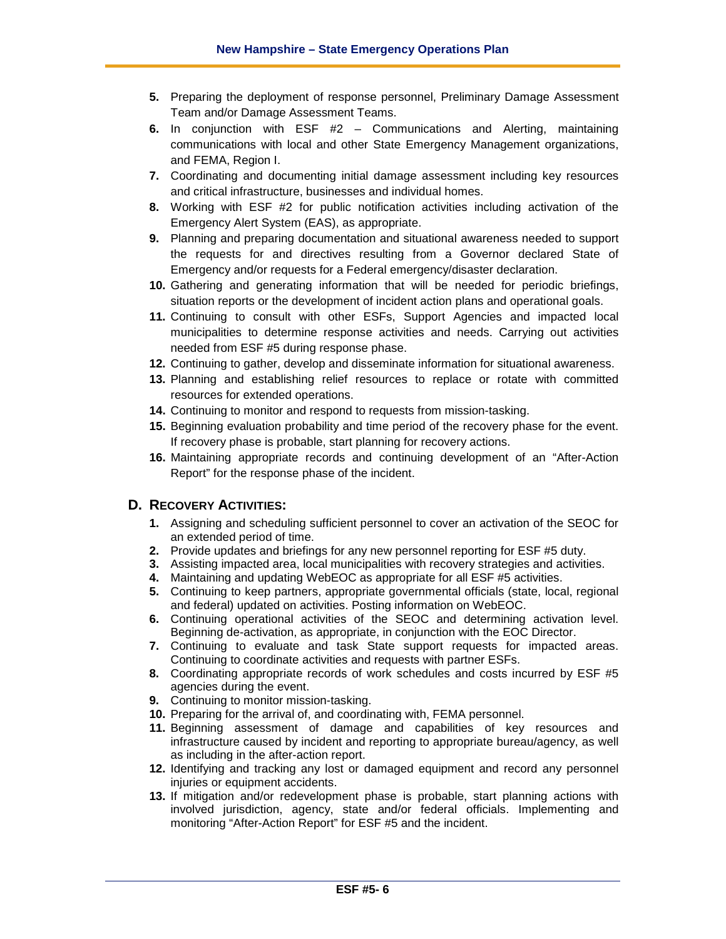- **5.** Preparing the deployment of response personnel, Preliminary Damage Assessment Team and/or Damage Assessment Teams.
- **6.** In conjunction with ESF #2 Communications and Alerting, maintaining communications with local and other State Emergency Management organizations, and FEMA, Region I.
- **7.** Coordinating and documenting initial damage assessment including key resources and critical infrastructure, businesses and individual homes.
- **8.** Working with ESF #2 for public notification activities including activation of the Emergency Alert System (EAS), as appropriate.
- **9.** Planning and preparing documentation and situational awareness needed to support the requests for and directives resulting from a Governor declared State of Emergency and/or requests for a Federal emergency/disaster declaration.
- **10.** Gathering and generating information that will be needed for periodic briefings, situation reports or the development of incident action plans and operational goals.
- **11.** Continuing to consult with other ESFs, Support Agencies and impacted local municipalities to determine response activities and needs. Carrying out activities needed from ESF #5 during response phase.
- **12.** Continuing to gather, develop and disseminate information for situational awareness.
- **13.** Planning and establishing relief resources to replace or rotate with committed resources for extended operations.
- **14.** Continuing to monitor and respond to requests from mission-tasking.
- **15.** Beginning evaluation probability and time period of the recovery phase for the event. If recovery phase is probable, start planning for recovery actions.
- **16.** Maintaining appropriate records and continuing development of an "After-Action Report" for the response phase of the incident.

#### **D. RECOVERY ACTIVITIES:**

- **1.** Assigning and scheduling sufficient personnel to cover an activation of the SEOC for an extended period of time.
- **2.** Provide updates and briefings for any new personnel reporting for ESF #5 duty.
- **3.** Assisting impacted area, local municipalities with recovery strategies and activities.
- **4.** Maintaining and updating WebEOC as appropriate for all ESF #5 activities.
- **5.** Continuing to keep partners, appropriate governmental officials (state, local, regional and federal) updated on activities. Posting information on WebEOC.
- **6.** Continuing operational activities of the SEOC and determining activation level. Beginning de-activation, as appropriate, in conjunction with the EOC Director.
- **7.** Continuing to evaluate and task State support requests for impacted areas. Continuing to coordinate activities and requests with partner ESFs.
- **8.** Coordinating appropriate records of work schedules and costs incurred by ESF #5 agencies during the event.
- **9.** Continuing to monitor mission-tasking.
- **10.** Preparing for the arrival of, and coordinating with, FEMA personnel.
- **11.** Beginning assessment of damage and capabilities of key resources and infrastructure caused by incident and reporting to appropriate bureau/agency, as well as including in the after-action report.
- **12.** Identifying and tracking any lost or damaged equipment and record any personnel injuries or equipment accidents.
- **13.** If mitigation and/or redevelopment phase is probable, start planning actions with involved jurisdiction, agency, state and/or federal officials. Implementing and monitoring "After-Action Report" for ESF #5 and the incident.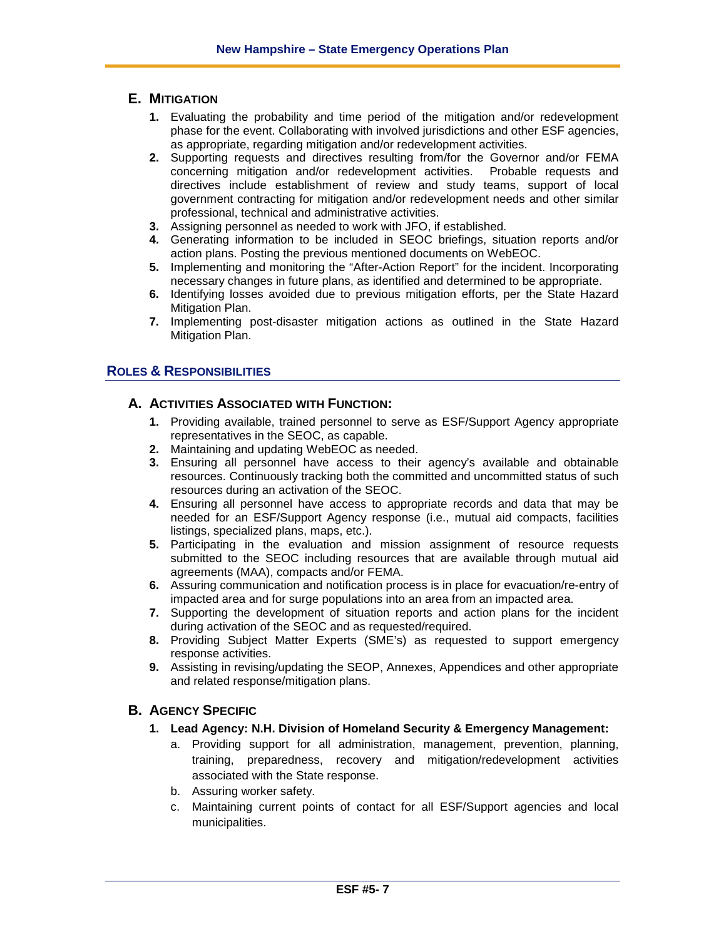### **E. MITIGATION**

- **1.** Evaluating the probability and time period of the mitigation and/or redevelopment phase for the event. Collaborating with involved jurisdictions and other ESF agencies, as appropriate, regarding mitigation and/or redevelopment activities.
- **2.** Supporting requests and directives resulting from/for the Governor and/or FEMA concerning mitigation and/or redevelopment activities. Probable requests and directives include establishment of review and study teams, support of local government contracting for mitigation and/or redevelopment needs and other similar professional, technical and administrative activities.
- **3.** Assigning personnel as needed to work with JFO, if established.
- **4.** Generating information to be included in SEOC briefings, situation reports and/or action plans. Posting the previous mentioned documents on WebEOC.
- **5.** Implementing and monitoring the "After-Action Report" for the incident. Incorporating necessary changes in future plans, as identified and determined to be appropriate.
- **6.** Identifying losses avoided due to previous mitigation efforts, per the State Hazard Mitigation Plan.
- **7.** Implementing post-disaster mitigation actions as outlined in the State Hazard Mitigation Plan.

#### **ROLES & RESPONSIBILITIES**

#### **A. ACTIVITIES ASSOCIATED WITH FUNCTION:**

- **1.** Providing available, trained personnel to serve as ESF/Support Agency appropriate representatives in the SEOC, as capable.
- **2.** Maintaining and updating WebEOC as needed.
- **3.** Ensuring all personnel have access to their agency's available and obtainable resources. Continuously tracking both the committed and uncommitted status of such resources during an activation of the SEOC.
- **4.** Ensuring all personnel have access to appropriate records and data that may be needed for an ESF/Support Agency response (i.e., mutual aid compacts, facilities listings, specialized plans, maps, etc.).
- **5.** Participating in the evaluation and mission assignment of resource requests submitted to the SEOC including resources that are available through mutual aid agreements (MAA), compacts and/or FEMA.
- **6.** Assuring communication and notification process is in place for evacuation/re-entry of impacted area and for surge populations into an area from an impacted area.
- **7.** Supporting the development of situation reports and action plans for the incident during activation of the SEOC and as requested/required.
- **8.** Providing Subject Matter Experts (SME's) as requested to support emergency response activities.
- **9.** Assisting in revising/updating the SEOP, Annexes, Appendices and other appropriate and related response/mitigation plans.

#### **B. AGENCY SPECIFIC**

- **1. Lead Agency: N.H. Division of Homeland Security & Emergency Management:**
	- a. Providing support for all administration, management, prevention, planning, training, preparedness, recovery and mitigation/redevelopment activities associated with the State response.
	- b. Assuring worker safety.
	- c. Maintaining current points of contact for all ESF/Support agencies and local municipalities.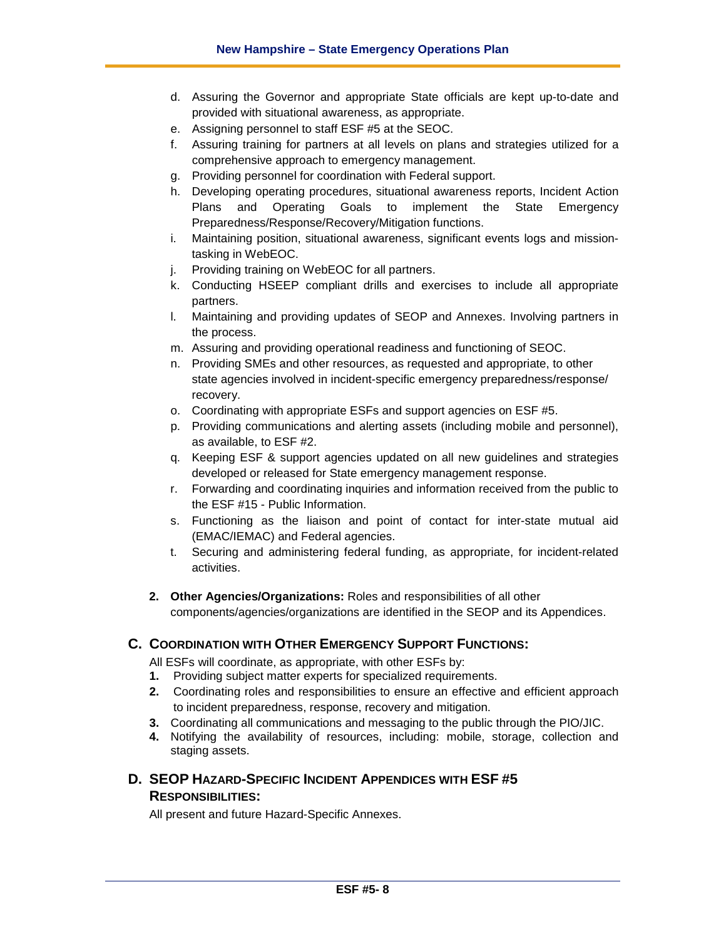- d. Assuring the Governor and appropriate State officials are kept up-to-date and provided with situational awareness, as appropriate.
- e. Assigning personnel to staff ESF #5 at the SEOC.
- f. Assuring training for partners at all levels on plans and strategies utilized for a comprehensive approach to emergency management.
- g. Providing personnel for coordination with Federal support.
- h. Developing operating procedures, situational awareness reports, Incident Action Plans and Operating Goals to implement the State Emergency Preparedness/Response/Recovery/Mitigation functions.
- i. Maintaining position, situational awareness, significant events logs and missiontasking in WebEOC.
- j. Providing training on WebEOC for all partners.
- k. Conducting HSEEP compliant drills and exercises to include all appropriate partners.
- l. Maintaining and providing updates of SEOP and Annexes. Involving partners in the process.
- m. Assuring and providing operational readiness and functioning of SEOC.
- n. Providing SMEs and other resources, as requested and appropriate, to other state agencies involved in incident-specific emergency preparedness/response/ recovery.
- o. Coordinating with appropriate ESFs and support agencies on ESF #5.
- p. Providing communications and alerting assets (including mobile and personnel), as available, to ESF #2.
- q. Keeping ESF & support agencies updated on all new guidelines and strategies developed or released for State emergency management response.
- r. Forwarding and coordinating inquiries and information received from the public to the ESF #15 - Public Information.
- s. Functioning as the liaison and point of contact for inter-state mutual aid (EMAC/IEMAC) and Federal agencies.
- t. Securing and administering federal funding, as appropriate, for incident-related activities.
- **2. Other Agencies/Organizations:** Roles and responsibilities of all other components/agencies/organizations are identified in the SEOP and its Appendices.

#### **C. COORDINATION WITH OTHER EMERGENCY SUPPORT FUNCTIONS:**

All ESFs will coordinate, as appropriate, with other ESFs by:

- **1.** Providing subject matter experts for specialized requirements.
- **2.** Coordinating roles and responsibilities to ensure an effective and efficient approach to incident preparedness, response, recovery and mitigation.
- **3.** Coordinating all communications and messaging to the public through the PIO/JIC.
- **4.** Notifying the availability of resources, including: mobile, storage, collection and staging assets.

## **D. SEOP HAZARD-SPECIFIC INCIDENT APPENDICES WITH ESF #5 RESPONSIBILITIES:**

All present and future Hazard-Specific Annexes.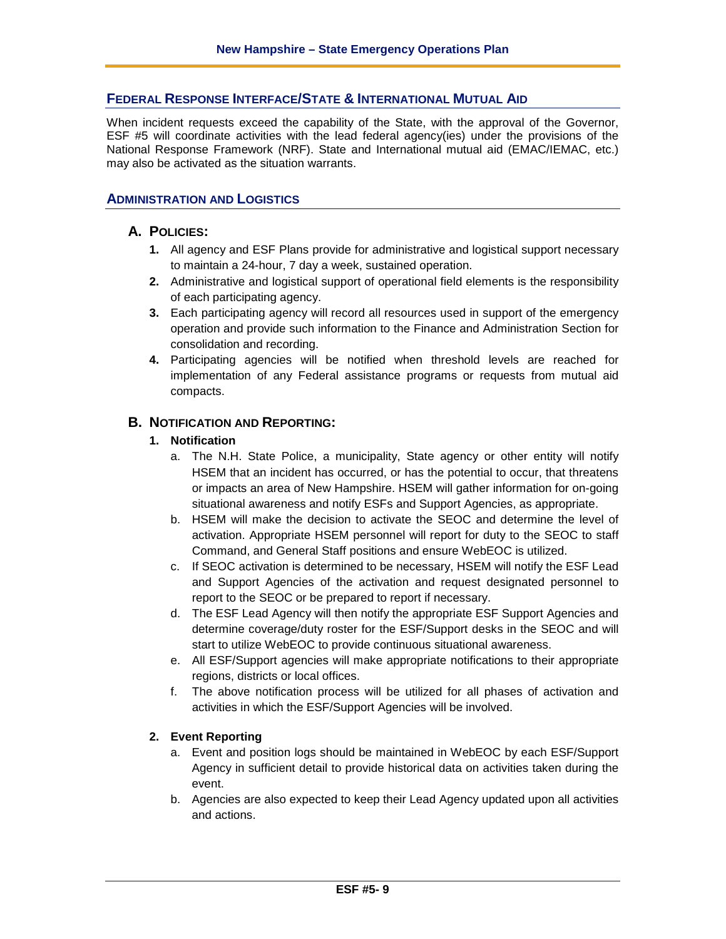### **FEDERAL RESPONSE INTERFACE/STATE & INTERNATIONAL MUTUAL AID**

When incident requests exceed the capability of the State, with the approval of the Governor, ESF #5 will coordinate activities with the lead federal agency(ies) under the provisions of the National Response Framework (NRF). State and International mutual aid (EMAC/IEMAC, etc.) may also be activated as the situation warrants.

#### **ADMINISTRATION AND LOGISTICS**

#### **A. POLICIES:**

- **1.** All agency and ESF Plans provide for administrative and logistical support necessary to maintain a 24-hour, 7 day a week, sustained operation.
- **2.** Administrative and logistical support of operational field elements is the responsibility of each participating agency.
- **3.** Each participating agency will record all resources used in support of the emergency operation and provide such information to the Finance and Administration Section for consolidation and recording.
- **4.** Participating agencies will be notified when threshold levels are reached for implementation of any Federal assistance programs or requests from mutual aid compacts.

#### **B. NOTIFICATION AND REPORTING:**

#### **1. Notification**

- a. The N.H. State Police, a municipality, State agency or other entity will notify HSEM that an incident has occurred, or has the potential to occur, that threatens or impacts an area of New Hampshire. HSEM will gather information for on-going situational awareness and notify ESFs and Support Agencies, as appropriate.
- b. HSEM will make the decision to activate the SEOC and determine the level of activation. Appropriate HSEM personnel will report for duty to the SEOC to staff Command, and General Staff positions and ensure WebEOC is utilized.
- c. If SEOC activation is determined to be necessary, HSEM will notify the ESF Lead and Support Agencies of the activation and request designated personnel to report to the SEOC or be prepared to report if necessary.
- d. The ESF Lead Agency will then notify the appropriate ESF Support Agencies and determine coverage/duty roster for the ESF/Support desks in the SEOC and will start to utilize WebEOC to provide continuous situational awareness.
- e. All ESF/Support agencies will make appropriate notifications to their appropriate regions, districts or local offices.
- f. The above notification process will be utilized for all phases of activation and activities in which the ESF/Support Agencies will be involved.

#### **2. Event Reporting**

- a. Event and position logs should be maintained in WebEOC by each ESF/Support Agency in sufficient detail to provide historical data on activities taken during the event.
- b. Agencies are also expected to keep their Lead Agency updated upon all activities and actions.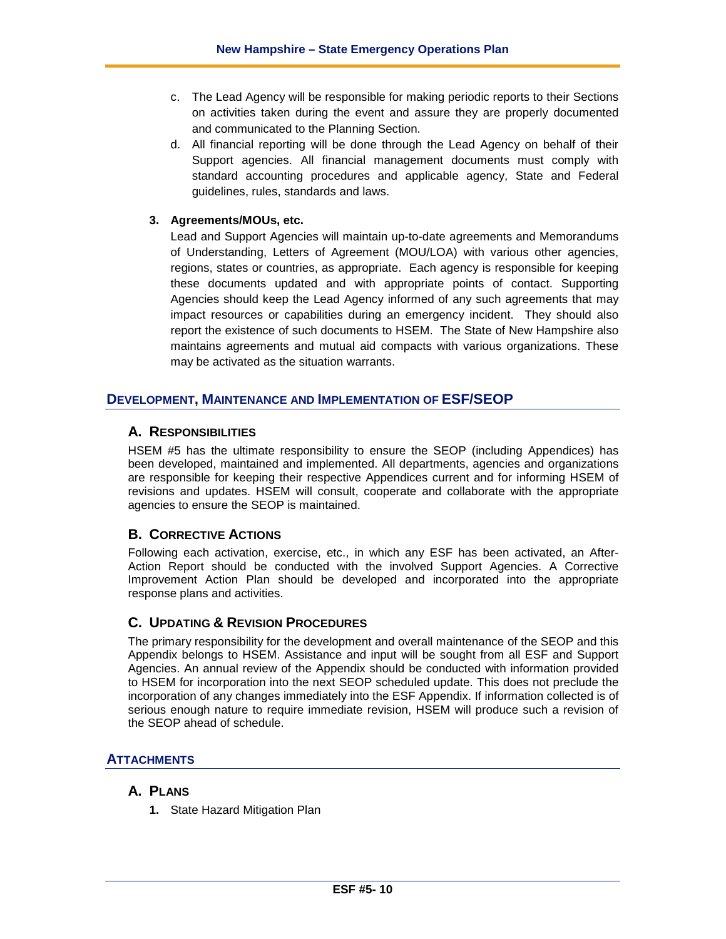- c. The Lead Agency will be responsible for making periodic reports to their Sections on activities taken during the event and assure they are properly documented and communicated to the Planning Section.
- d. All financial reporting will be done through the Lead Agency on behalf of their Support agencies. All financial management documents must comply with standard accounting procedures and applicable agency, State and Federal guidelines, rules, standards and laws.

#### **3. Agreements/MOUs, etc.**

Lead and Support Agencies will maintain up-to-date agreements and Memorandums of Understanding, Letters of Agreement (MOU/LOA) with various other agencies, regions, states or countries, as appropriate. Each agency is responsible for keeping these documents updated and with appropriate points of contact. Supporting Agencies should keep the Lead Agency informed of any such agreements that may impact resources or capabilities during an emergency incident. They should also report the existence of such documents to HSEM. The State of New Hampshire also maintains agreements and mutual aid compacts with various organizations. These may be activated as the situation warrants.

#### **DEVELOPMENT, MAINTENANCE AND IMPLEMENTATION OF ESF/SEOP**

#### **A. RESPONSIBILITIES**

HSEM #5 has the ultimate responsibility to ensure the SEOP (including Appendices) has been developed, maintained and implemented. All departments, agencies and organizations are responsible for keeping their respective Appendices current and for informing HSEM of revisions and updates. HSEM will consult, cooperate and collaborate with the appropriate agencies to ensure the SEOP is maintained.

#### **B. CORRECTIVE ACTIONS**

Following each activation, exercise, etc., in which any ESF has been activated, an After-Action Report should be conducted with the involved Support Agencies. A Corrective Improvement Action Plan should be developed and incorporated into the appropriate response plans and activities.

#### **C. UPDATING & REVISION PROCEDURES**

The primary responsibility for the development and overall maintenance of the SEOP and this Appendix belongs to HSEM. Assistance and input will be sought from all ESF and Support Agencies. An annual review of the Appendix should be conducted with information provided to HSEM for incorporation into the next SEOP scheduled update. This does not preclude the incorporation of any changes immediately into the ESF Appendix. If information collected is of serious enough nature to require immediate revision, HSEM will produce such a revision of the SEOP ahead of schedule.

#### **ATTACHMENTS**

#### **A. PLANS**

**1.** State Hazard Mitigation Plan